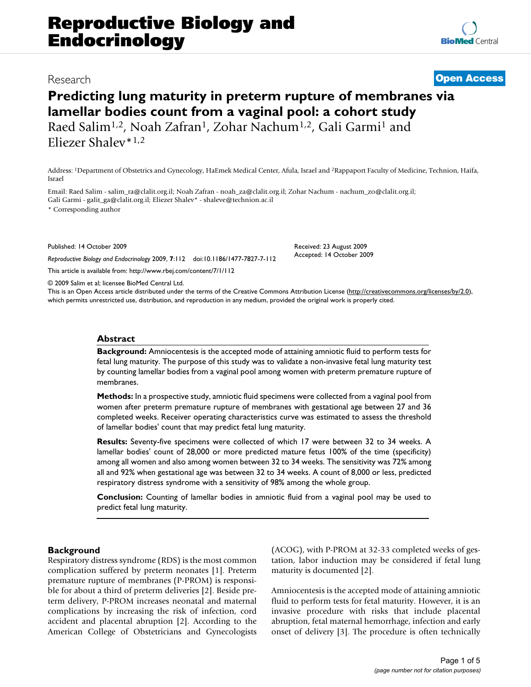## Research **[Open Access](http://www.biomedcentral.com/info/about/charter/)**

# **Predicting lung maturity in preterm rupture of membranes via lamellar bodies count from a vaginal pool: a cohort study** Raed Salim<sup>1,2</sup>, Noah Zafran<sup>1</sup>, Zohar Nachum<sup>1,2</sup>, Gali Garmi<sup>1</sup> and

Eliezer Shalev\*1,2

Address: 1Department of Obstetrics and Gynecology, HaEmek Medical Center, Afula, Israel and 2Rappaport Faculty of Medicine, Technion, Haifa, Israel

Email: Raed Salim - salim\_ra@clalit.org.il; Noah Zafran - noah\_za@clalit.org.il; Zohar Nachum - nachum\_zo@clalit.org.il; Gali Garmi - galit\_ga@clalit.org.il; Eliezer Shalev\* - shaleve@technion.ac.il

\* Corresponding author

Published: 14 October 2009

*Reproductive Biology and Endocrinology* 2009, **7**:112 doi:10.1186/1477-7827-7-112

[This article is available from: http://www.rbej.com/content/7/1/112](http://www.rbej.com/content/7/1/112)

© 2009 Salim et al; licensee BioMed Central Ltd.

This is an Open Access article distributed under the terms of the Creative Commons Attribution License [\(http://creativecommons.org/licenses/by/2.0\)](http://creativecommons.org/licenses/by/2.0), which permits unrestricted use, distribution, and reproduction in any medium, provided the original work is properly cited.

Received: 23 August 2009 Accepted: 14 October 2009

#### **Abstract**

**Background:** Amniocentesis is the accepted mode of attaining amniotic fluid to perform tests for fetal lung maturity. The purpose of this study was to validate a non-invasive fetal lung maturity test by counting lamellar bodies from a vaginal pool among women with preterm premature rupture of membranes.

**Methods:** In a prospective study, amniotic fluid specimens were collected from a vaginal pool from women after preterm premature rupture of membranes with gestational age between 27 and 36 completed weeks. Receiver operating characteristics curve was estimated to assess the threshold of lamellar bodies' count that may predict fetal lung maturity.

**Results:** Seventy-five specimens were collected of which 17 were between 32 to 34 weeks. A lamellar bodies' count of 28,000 or more predicted mature fetus 100% of the time (specificity) among all women and also among women between 32 to 34 weeks. The sensitivity was 72% among all and 92% when gestational age was between 32 to 34 weeks. A count of 8,000 or less, predicted respiratory distress syndrome with a sensitivity of 98% among the whole group.

**Conclusion:** Counting of lamellar bodies in amniotic fluid from a vaginal pool may be used to predict fetal lung maturity.

## **Background**

Respiratory distress syndrome (RDS) is the most common complication suffered by preterm neonates [1]. Preterm premature rupture of membranes (P-PROM) is responsible for about a third of preterm deliveries [2]. Beside preterm delivery, P-PROM increases neonatal and maternal complications by increasing the risk of infection, cord accident and placental abruption [2]. According to the American College of Obstetricians and Gynecologists (ACOG), with P-PROM at 32-33 completed weeks of gestation, labor induction may be considered if fetal lung maturity is documented [2].

Amniocentesis is the accepted mode of attaining amniotic fluid to perform tests for fetal maturity. However, it is an invasive procedure with risks that include placental abruption, fetal maternal hemorrhage, infection and early onset of delivery [3]. The procedure is often technically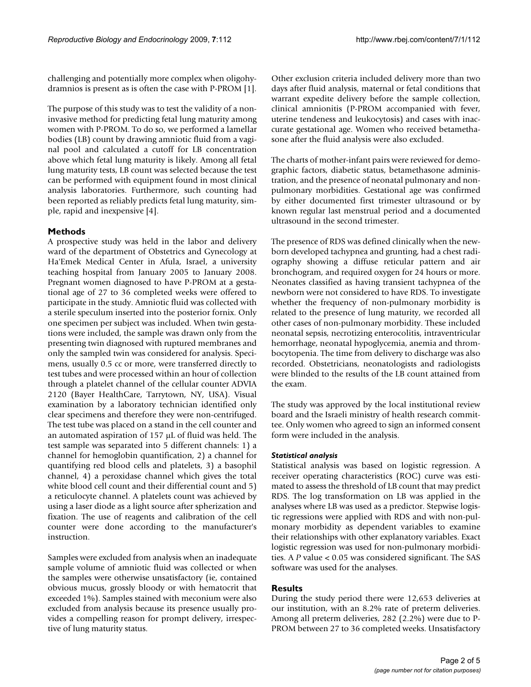challenging and potentially more complex when oligohydramnios is present as is often the case with P-PROM [1].

The purpose of this study was to test the validity of a noninvasive method for predicting fetal lung maturity among women with P-PROM. To do so, we performed a lamellar bodies (LB) count by drawing amniotic fluid from a vaginal pool and calculated a cutoff for LB concentration above which fetal lung maturity is likely. Among all fetal lung maturity tests, LB count was selected because the test can be performed with equipment found in most clinical analysis laboratories. Furthermore, such counting had been reported as reliably predicts fetal lung maturity, simple, rapid and inexpensive [4].

## **Methods**

A prospective study was held in the labor and delivery ward of the department of Obstetrics and Gynecology at Ha'Emek Medical Center in Afula, Israel, a university teaching hospital from January 2005 to January 2008. Pregnant women diagnosed to have P-PROM at a gestational age of 27 to 36 completed weeks were offered to participate in the study. Amniotic fluid was collected with a sterile speculum inserted into the posterior fornix. Only one specimen per subject was included. When twin gestations were included, the sample was drawn only from the presenting twin diagnosed with ruptured membranes and only the sampled twin was considered for analysis. Specimens, usually 0.5 cc or more, were transferred directly to test tubes and were processed within an hour of collection through a platelet channel of the cellular counter ADVIA 2120 (Bayer HealthCare, Tarrytown, NY, USA). Visual examination by a laboratory technician identified only clear specimens and therefore they were non-centrifuged. The test tube was placed on a stand in the cell counter and an automated aspiration of 157 μL of fluid was held. The test sample was separated into 5 different channels: 1) a channel for hemoglobin quantification, 2) a channel for quantifying red blood cells and platelets, 3) a basophil channel, 4) a peroxidase channel which gives the total white blood cell count and their differential count and 5) a reticulocyte channel. A platelets count was achieved by using a laser diode as a light source after spherization and fixation. The use of reagents and calibration of the cell counter were done according to the manufacturer's instruction.

Samples were excluded from analysis when an inadequate sample volume of amniotic fluid was collected or when the samples were otherwise unsatisfactory (ie, contained obvious mucus, grossly bloody or with hematocrit that exceeded 1%). Samples stained with meconium were also excluded from analysis because its presence usually provides a compelling reason for prompt delivery, irrespective of lung maturity status.

Other exclusion criteria included delivery more than two days after fluid analysis, maternal or fetal conditions that warrant expedite delivery before the sample collection, clinical amnionitis (P-PROM accompanied with fever, uterine tendeness and leukocytosis) and cases with inaccurate gestational age. Women who received betamethasone after the fluid analysis were also excluded.

The charts of mother-infant pairs were reviewed for demographic factors, diabetic status, betamethasone administration, and the presence of neonatal pulmonary and nonpulmonary morbidities. Gestational age was confirmed by either documented first trimester ultrasound or by known regular last menstrual period and a documented ultrasound in the second trimester.

The presence of RDS was defined clinically when the newborn developed tachypnea and grunting, had a chest radiography showing a diffuse reticular pattern and air bronchogram, and required oxygen for 24 hours or more. Neonates classified as having transient tachypnea of the newborn were not considered to have RDS. To investigate whether the frequency of non-pulmonary morbidity is related to the presence of lung maturity, we recorded all other cases of non-pulmonary morbidity. These included neonatal sepsis, necrotizing enterocolitis, intraventricular hemorrhage, neonatal hypoglycemia, anemia and thrombocytopenia. The time from delivery to discharge was also recorded. Obstetricians, neonatologists and radiologists were blinded to the results of the LB count attained from the exam.

The study was approved by the local institutional review board and the Israeli ministry of health research committee. Only women who agreed to sign an informed consent form were included in the analysis.

## *Statistical analysis*

Statistical analysis was based on logistic regression. A receiver operating characteristics (ROC) curve was estimated to assess the threshold of LB count that may predict RDS. The log transformation on LB was applied in the analyses where LB was used as a predictor. Stepwise logistic regressions were applied with RDS and with non-pulmonary morbidity as dependent variables to examine their relationships with other explanatory variables. Exact logistic regression was used for non-pulmonary morbidities. A *P* value < 0.05 was considered significant. The SAS software was used for the analyses.

## **Results**

During the study period there were 12,653 deliveries at our institution, with an 8.2% rate of preterm deliveries. Among all preterm deliveries, 282 (2.2%) were due to P-PROM between 27 to 36 completed weeks. Unsatisfactory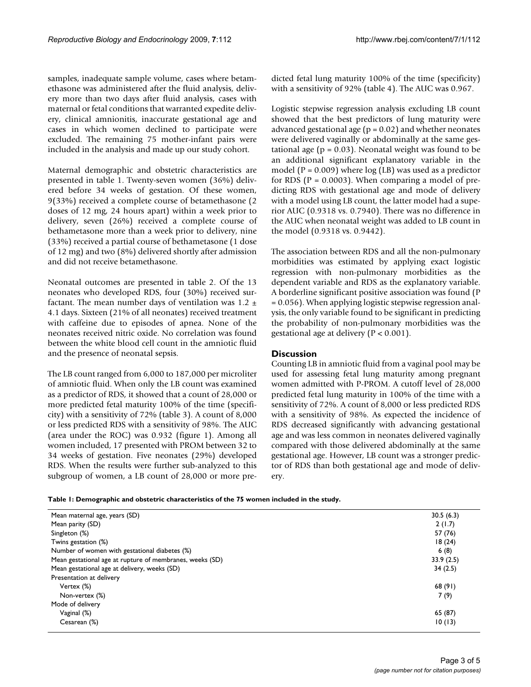samples, inadequate sample volume, cases where betamethasone was administered after the fluid analysis, delivery more than two days after fluid analysis, cases with maternal or fetal conditions that warranted expedite delivery, clinical amnionitis, inaccurate gestational age and cases in which women declined to participate were excluded. The remaining 75 mother-infant pairs were included in the analysis and made up our study cohort.

Maternal demographic and obstetric characteristics are presented in table 1. Twenty-seven women (36%) delivered before 34 weeks of gestation. Of these women, 9(33%) received a complete course of betamethasone (2 doses of 12 mg, 24 hours apart) within a week prior to delivery, seven (26%) received a complete course of bethametasone more than a week prior to delivery, nine (33%) received a partial course of bethametasone (1 dose of 12 mg) and two (8%) delivered shortly after admission and did not receive betamethasone.

Neonatal outcomes are presented in table 2. Of the 13 neonates who developed RDS, four (30%) received surfactant. The mean number days of ventilation was  $1.2 \pm$ 4.1 days. Sixteen (21% of all neonates) received treatment with caffeine due to episodes of apnea. None of the neonates received nitric oxide. No correlation was found between the white blood cell count in the amniotic fluid and the presence of neonatal sepsis.

The LB count ranged from 6,000 to 187,000 per microliter of amniotic fluid. When only the LB count was examined as a predictor of RDS, it showed that a count of 28,000 or more predicted fetal maturity 100% of the time (specificity) with a sensitivity of 72% (table 3). A count of 8,000 or less predicted RDS with a sensitivity of 98%. The AUC (area under the ROC) was 0.932 (figure 1). Among all women included, 17 presented with PROM between 32 to 34 weeks of gestation. Five neonates (29%) developed RDS. When the results were further sub-analyzed to this subgroup of women, a LB count of 28,000 or more predicted fetal lung maturity 100% of the time (specificity) with a sensitivity of 92% (table 4). The AUC was 0.967.

Logistic stepwise regression analysis excluding LB count showed that the best predictors of lung maturity were advanced gestational age ( $p = 0.02$ ) and whether neonates were delivered vaginally or abdominally at the same gestational age ( $p = 0.03$ ). Neonatal weight was found to be an additional significant explanatory variable in the model ( $P = 0.009$ ) where  $log(LB)$  was used as a predictor for RDS ( $P = 0.0003$ ). When comparing a model of predicting RDS with gestational age and mode of delivery with a model using LB count, the latter model had a superior AUC (0.9318 vs. 0.7940). There was no difference in the AUC when neonatal weight was added to LB count in the model (0.9318 vs. 0.9442).

The association between RDS and all the non-pulmonary morbidities was estimated by applying exact logistic regression with non-pulmonary morbidities as the dependent variable and RDS as the explanatory variable. A borderline significant positive association was found (P = 0.056). When applying logistic stepwise regression analysis, the only variable found to be significant in predicting the probability of non-pulmonary morbidities was the gestational age at delivery ( $P < 0.001$ ).

## **Discussion**

Counting LB in amniotic fluid from a vaginal pool may be used for assessing fetal lung maturity among pregnant women admitted with P-PROM. A cutoff level of 28,000 predicted fetal lung maturity in 100% of the time with a sensitivity of 72%. A count of 8,000 or less predicted RDS with a sensitivity of 98%. As expected the incidence of RDS decreased significantly with advancing gestational age and was less common in neonates delivered vaginally compared with those delivered abdominally at the same gestational age. However, LB count was a stronger predictor of RDS than both gestational age and mode of delivery.

| Table I: Demographic and obstetric characteristics of the 75 women included in the study. |
|-------------------------------------------------------------------------------------------|
|-------------------------------------------------------------------------------------------|

| Mean maternal age, years (SD)                            | 30.5(6.3) |
|----------------------------------------------------------|-----------|
| Mean parity (SD)                                         | 2(1.7)    |
| Singleton (%)                                            | 57 (76)   |
| Twins gestation (%)                                      | 18(24)    |
| Number of women with gestational diabetes (%)            | 6(8)      |
| Mean gestational age at rupture of membranes, weeks (SD) | 33.9(2.5) |
| Mean gestational age at delivery, weeks (SD)             | 34(2.5)   |
| Presentation at delivery                                 |           |
| Vertex (%)                                               | 68 (91)   |
| Non-vertex (%)                                           | 7(9)      |
| Mode of delivery                                         |           |
| Vaginal (%)                                              | 65 (87)   |
| Cesarean (%)                                             | 10(13)    |
|                                                          |           |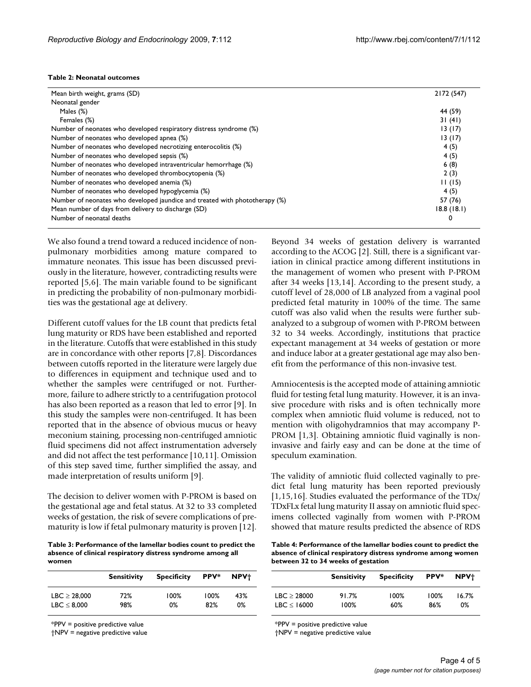#### **Table 2: Neonatal outcomes**

| Mean birth weight, grams (SD)                                               | 2172 (547) |
|-----------------------------------------------------------------------------|------------|
| Neonatal gender                                                             |            |
| Males (%)                                                                   | 44 (59)    |
| Females (%)                                                                 | 31(41)     |
| Number of neonates who developed respiratory distress syndrome (%)          | 13(17)     |
| Number of neonates who developed apnea (%)                                  | 13(17)     |
| Number of neonates who developed necrotizing enterocolitis (%)              | 4(5)       |
| Number of neonates who developed sepsis (%)                                 | 4(5)       |
| Number of neonates who developed intraventricular hemorrhage (%)            | 6(8)       |
| Number of neonates who developed thrombocytopenia (%)                       | 2(3)       |
| Number of neonates who developed anemia (%)                                 | 11(15)     |
| Number of neonates who developed hypoglycemia (%)                           | 4(5)       |
| Number of neonates who developed jaundice and treated with phototherapy (%) | 57 (76)    |
| Mean number of days from delivery to discharge (SD)                         | 18.8(18.1) |
| Number of neonatal deaths                                                   | 0          |

We also found a trend toward a reduced incidence of nonpulmonary morbidities among mature compared to immature neonates. This issue has been discussed previously in the literature, however, contradicting results were reported [5,6]. The main variable found to be significant in predicting the probability of non-pulmonary morbidities was the gestational age at delivery.

Different cutoff values for the LB count that predicts fetal lung maturity or RDS have been established and reported in the literature. Cutoffs that were established in this study are in concordance with other reports [7,8]. Discordances between cutoffs reported in the literature were largely due to differences in equipment and technique used and to whether the samples were centrifuged or not. Furthermore, failure to adhere strictly to a centrifugation protocol has also been reported as a reason that led to error [9]. In this study the samples were non-centrifuged. It has been reported that in the absence of obvious mucus or heavy meconium staining, processing non-centrifuged amniotic fluid specimens did not affect instrumentation adversely and did not affect the test performance [10,11]. Omission of this step saved time, further simplified the assay, and made interpretation of results uniform [9].

The decision to deliver women with P-PROM is based on the gestational age and fetal status. At 32 to 33 completed weeks of gestation, the risk of severe complications of prematurity is low if fetal pulmonary maturity is proven [12].

**Table 3: Performance of the lamellar bodies count to predict the absence of clinical respiratory distress syndrome among all women**

|                   | <b>Sensitivity</b> | <b>Specificity</b> | <b>PPV*</b> | <b>NPV+</b> |
|-------------------|--------------------|--------------------|-------------|-------------|
| $LBC \geq 28,000$ | 72%                | 100%               | 100%        | 43%         |
| $LBC \leq 8.000$  | 98%                | 0%                 | 82%         | 0%          |

\*PPV = positive predictive value

†NPV = negative predictive value

Beyond 34 weeks of gestation delivery is warranted according to the ACOG [2]. Still, there is a significant variation in clinical practice among different institutions in the management of women who present with P-PROM after 34 weeks [13,14]. According to the present study, a cutoff level of 28,000 of LB analyzed from a vaginal pool predicted fetal maturity in 100% of the time. The same cutoff was also valid when the results were further subanalyzed to a subgroup of women with P-PROM between 32 to 34 weeks. Accordingly, institutions that practice expectant management at 34 weeks of gestation or more and induce labor at a greater gestational age may also benefit from the performance of this non-invasive test.

Amniocentesis is the accepted mode of attaining amniotic fluid for testing fetal lung maturity. However, it is an invasive procedure with risks and is often technically more complex when amniotic fluid volume is reduced, not to mention with oligohydramnios that may accompany P-PROM [1,3]. Obtaining amniotic fluid vaginally is noninvasive and fairly easy and can be done at the time of speculum examination.

The validity of amniotic fluid collected vaginally to predict fetal lung maturity has been reported previously [1,15,16]. Studies evaluated the performance of the TDx/ TDxFLx fetal lung maturity II assay on amniotic fluid specimens collected vaginally from women with P-PROM showed that mature results predicted the absence of RDS

**Table 4: Performance of the lamellar bodies count to predict the absence of clinical respiratory distress syndrome among women between 32 to 34 weeks of gestation**

|                  | <b>Sensitivity</b> | <b>Specificity</b> | <b>PPV*</b> | NPV <sup>+</sup> |
|------------------|--------------------|--------------------|-------------|------------------|
| $LBC \geq 28000$ | 91.7%              | $100\%$            | $100\%$     | 16.7%            |
| $LBC \leq 16000$ | 100%               | 60%                | 86%         | 0%               |

\*PPV = positive predictive value

†NPV = negative predictive value